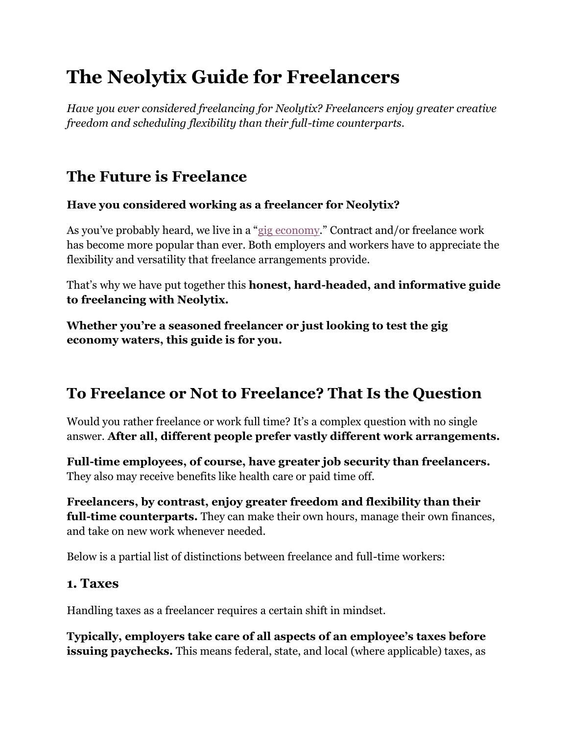# **The Neolytix Guide for Freelancers**

*Have you ever considered freelancing for Neolytix? Freelancers enjoy greater creative freedom and scheduling flexibility than their full-time counterparts.*

### **The Future is Freelance**

#### **Have you considered working as a freelancer for Neolytix?**

As you've probably heard, we live in a "[gig economy](https://www.investopedia.com/terms/g/gig-economy.asp)." Contract and/or freelance work has become more popular than ever. Both employers and workers have to appreciate the flexibility and versatility that freelance arrangements provide.

That's why we have put together this **honest, hard-headed, and informative guide to freelancing with Neolytix.**

**Whether you're a seasoned freelancer or just looking to test the gig economy waters, this guide is for you.**

## **To Freelance or Not to Freelance? That Is the Question**

Would you rather freelance or work full time? It's a complex question with no single answer. **After all, different people prefer vastly different work arrangements.**

**Full-time employees, of course, have greater job security than freelancers.** They also may receive benefits like health care or paid time off.

**Freelancers, by contrast, enjoy greater freedom and flexibility than their full-time counterparts.** They can make their own hours, manage their own finances, and take on new work whenever needed.

Below is a partial list of distinctions between freelance and full-time workers:

#### **1. Taxes**

Handling taxes as a freelancer requires a certain shift in mindset.

**Typically, employers take care of all aspects of an employee's taxes before issuing paychecks.** This means federal, state, and local (where applicable) taxes, as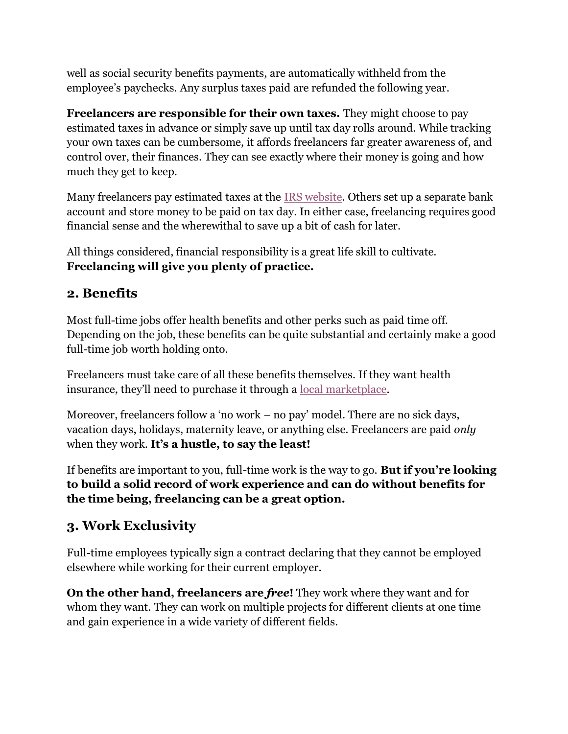well as social security benefits payments, are automatically withheld from the employee's paychecks. Any surplus taxes paid are refunded the following year.

**Freelancers are responsible for their own taxes.** They might choose to pay estimated taxes in advance or simply save up until tax day rolls around. While tracking your own taxes can be cumbersome, it affords freelancers far greater awareness of, and control over, their finances. They can see exactly where their money is going and how much they get to keep.

Many fr[e](https://www.irs.gov/payments/direct-pay)elancers pay estimated taxes at the [IRS website.](https://www.irs.gov/payments/direct-pay) Others set up a separate bank account and store money to be paid on tax day. In either case, freelancing requires good financial sense and the wherewithal to save up a bit of cash for later.

All things considered, financial responsibility is a great life skill to cultivate. **Freelancing will give you plenty of practice.**

#### **2. Benefits**

Most full-time jobs offer health benefits and other perks such as paid time off. Depending on the job, these benefits can be quite substantial and certainly make a good full-time job worth holding onto.

Freelancers must take care of all these benefits themselves. If they want health insurance, they'll need to purchase it through [a](https://www.healthcare.gov/) [local marketplace.](https://www.healthcare.gov/)

Moreover, freelancers follow a 'no work – no pay' model. There are no sick days, vacation days, holidays, maternity leave, or anything else. Freelancers are paid *only* when they work. **It's a hustle, to say the least!**

If benefits are important to you, full-time work is the way to go. **But if you're looking to build a solid record of work experience and can do without benefits for the time being, freelancing can be a great option.**

#### **3. Work Exclusivity**

Full-time employees typically sign a contract declaring that they cannot be employed elsewhere while working for their current employer.

**On the other hand, freelancers are** *free***!** They work where they want and for whom they want. They can work on multiple projects for different clients at one time and gain experience in a wide variety of different fields.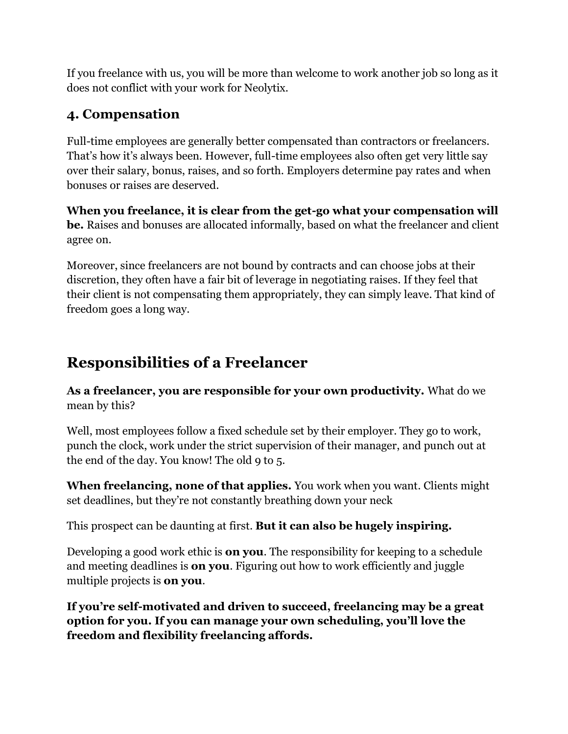If you freelance with us, you will be more than welcome to work another job so long as it does not conflict with your work for Neolytix.

#### **4. Compensation**

Full-time employees are generally better compensated than contractors or freelancers. That's how it's always been. However, full-time employees also often get very little say over their salary, bonus, raises, and so forth. Employers determine pay rates and when bonuses or raises are deserved.

**When you freelance, it is clear from the get-go what your compensation will be.** Raises and bonuses are allocated informally, based on what the freelancer and client agree on.

Moreover, since freelancers are not bound by contracts and can choose jobs at their discretion, they often have a fair bit of leverage in negotiating raises. If they feel that their client is not compensating them appropriately, they can simply leave. That kind of freedom goes a long way.

## **Responsibilities of a Freelancer**

**As a freelancer, you are responsible for your own productivity.** What do we mean by this?

Well, most employees follow a fixed schedule set by their employer. They go to work, punch the clock, work under the strict supervision of their manager, and punch out at the end of the day. You know! The old 9 to 5.

**When freelancing, none of that applies.** You work when you want. Clients might set deadlines, but they're not constantly breathing down your neck

This prospect can be daunting at first. **But it can also be hugely inspiring.**

Developing a good work ethic is **on you**. The responsibility for keeping to a schedule and meeting deadlines is **on you**. Figuring out how to work efficiently and juggle multiple projects is **on you**.

**If you're self-motivated and driven to succeed, freelancing may be a great option for you. If you can manage your own scheduling, you'll love the freedom and flexibility freelancing affords.**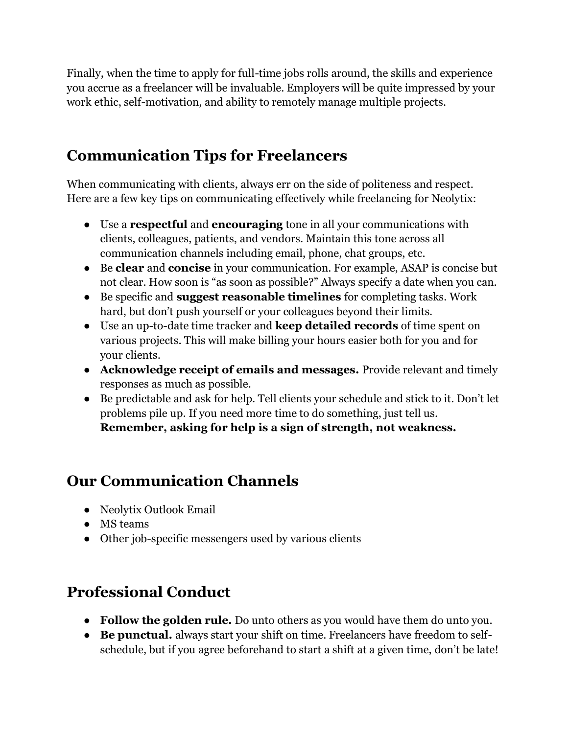Finally, when the time to apply for full-time jobs rolls around, the skills and experience you accrue as a freelancer will be invaluable. Employers will be quite impressed by your work ethic, self-motivation, and ability to remotely manage multiple projects.

### **Communication Tips for Freelancers**

When communicating with clients, always err on the side of politeness and respect. Here are a few key tips on communicating effectively while freelancing for Neolytix:

- Use a **respectful** and **encouraging** tone in all your communications with clients, colleagues, patients, and vendors. Maintain this tone across all communication channels including email, phone, chat groups, etc.
- Be **clear** and **concise** in your communication. For example, ASAP is concise but not clear. How soon is "as soon as possible?" Always specify a date when you can.
- Be specific and **suggest reasonable timelines** for completing tasks. Work hard, but don't push yourself or your colleagues beyond their limits.
- Use an up-to-date time tracker and **keep detailed records** of time spent on various projects. This will make billing your hours easier both for you and for your clients.
- **Acknowledge receipt of emails and messages.** Provide relevant and timely responses as much as possible.
- Be predictable and ask for help. Tell clients your schedule and stick to it. Don't let problems pile up. If you need more time to do something, just tell us. **Remember, asking for help is a sign of strength, not weakness.**

### **Our Communication Channels**

- Neolytix Outlook Email
- MS teams
- Other job-specific messengers used by various clients

### **Professional Conduct**

- **Follow the golden rule.** Do unto others as you would have them do unto you.
- **Be punctual.** always start your shift on time. Freelancers have freedom to selfschedule, but if you agree beforehand to start a shift at a given time, don't be late!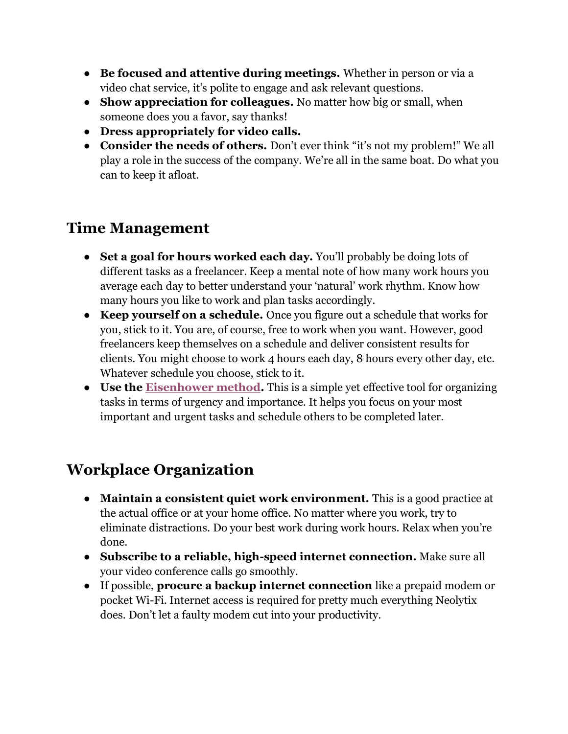- **Be focused and attentive during meetings.** Whether in person or via a video chat service, it's polite to engage and ask relevant questions.
- **Show appreciation for colleagues.** No matter how big or small, when someone does you a favor, say thanks!
- **Dress appropriately for video calls.**
- **Consider the needs of others.** Don't ever think "it's not my problem!" We all play a role in the success of the company. We're all in the same boat. Do what you can to keep it afloat.

### **Time Management**

- **Set a goal for hours worked each day.** You'll probably be doing lots of different tasks as a freelancer. Keep a mental note of how many work hours you average each day to better understand your 'natural' work rhythm. Know how many hours you like to work and plan tasks accordingly.
- **Keep yourself on a schedule.** Once you figure out a schedule that works for you, stick to it. You are, of course, free to work when you want. However, good freelancers keep themselves on a schedule and deliver consistent results for clients. You might choose to work 4 hours each day, 8 hours every other day, etc. Whatever schedule you choose, stick to it.
- **Use the [Eisenhower method.](https://www.appfluence.com/productivity/what-is-the-eisenhower-method/#:~:text=The%20Eisenhower%20method%2C%20also%20known,order%20to%20figure%20out%20priorities.&text=This%20method%20is%20said%20to,by%20US%20President%20Dwight%20D.)** This is a simple yet effective tool for organizing tasks in terms of urgency and importance. It helps you focus on your most important and urgent tasks and schedule others to be completed later.

### **Workplace Organization**

- **Maintain a consistent quiet work environment.** This is a good practice at the actual office or at your home office. No matter where you work, try to eliminate distractions. Do your best work during work hours. Relax when you're done.
- **Subscribe to a reliable, high-speed internet connection.** Make sure all your video conference calls go smoothly.
- If possible, **procure a backup internet connection** like a prepaid modem or pocket Wi-Fi. Internet access is required for pretty much everything Neolytix does. Don't let a faulty modem cut into your productivity.